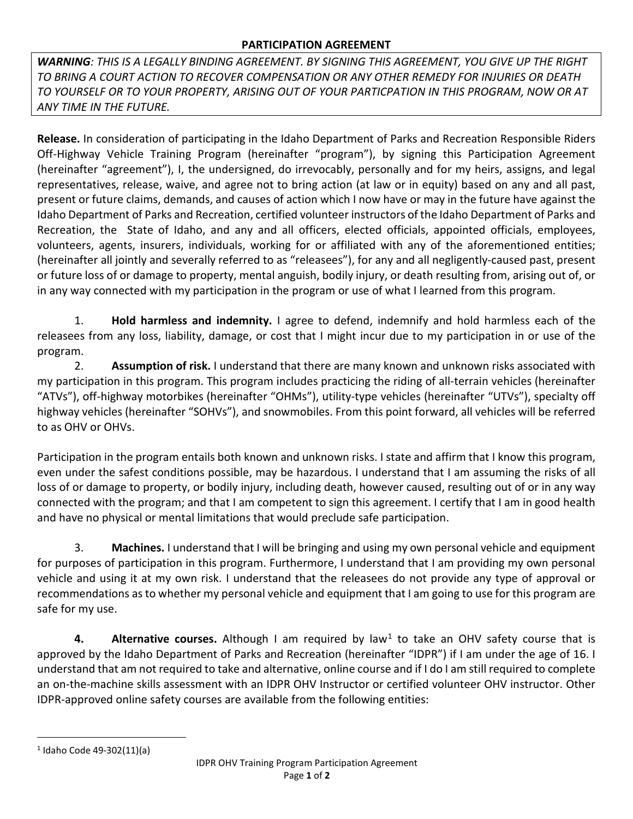## **PARTICIPATION AGREEMENT**

*WARNING: THIS IS A LEGALLY BINDING AGREEMENT. BY SIGNING THIS AGREEMENT, YOU GIVE UP THE RIGHT TO BRING A COURT ACTION TO RECOVER COMPENSATION OR ANY OTHER REMEDY FOR INJURIES OR DEATH TO YOURSELF OR TO YOUR PROPERTY, ARISING OUT OF YOUR PARTICPATION IN THIS PROGRAM, NOW OR AT ANY TIME IN THE FUTURE.*

**Release.** In consideration of participating in the Idaho Department of Parks and Recreation Responsible Riders Off-Highway Vehicle Training Program (hereinafter "program"), by signing this Participation Agreement (hereinafter "agreement"), I, the undersigned, do irrevocably, personally and for my heirs, assigns, and legal representatives, release, waive, and agree not to bring action (at law or in equity) based on any and all past, present or future claims, demands, and causes of action which I now have or may in the future have against the Idaho Department of Parks and Recreation, certified volunteer instructors of the Idaho Department of Parks and Recreation, the State of Idaho, and any and all officers, elected officials, appointed officials, employees, volunteers, agents, insurers, individuals, working for or affiliated with any of the aforementioned entities; (hereinafter all jointly and severally referred to as "releasees"), for any and all negligently-caused past, present or future loss of or damage to property, mental anguish, bodily injury, or death resulting from, arising out of, or in any way connected with my participation in the program or use of what I learned from this program.

1. **Hold harmless and indemnity.** I agree to defend, indemnify and hold harmless each of the releasees from any loss, liability, damage, or cost that I might incur due to my participation in or use of the program.

2. **Assumption of risk.** I understand that there are many known and unknown risks associated with my participation in this program. This program includes practicing the riding of all-terrain vehicles (hereinafter "ATVs"), off-highway motorbikes (hereinafter "OHMs"), utility-type vehicles (hereinafter "UTVs"), specialty off highway vehicles (hereinafter "SOHVs"), and snowmobiles. From this point forward, all vehicles will be referred to as OHV or OHVs.

Participation in the program entails both known and unknown risks. I state and affirm that I know this program, even under the safest conditions possible, may be hazardous. I understand that I am assuming the risks of all loss of or damage to property, or bodily injury, including death, however caused, resulting out of or in any way connected with the program; and that I am competent to sign this agreement. I certify that I am in good health and have no physical or mental limitations that would preclude safe participation.

3. **Machines.** I understand that I will be bringing and using my own personal vehicle and equipment for purposes of participation in this program. Furthermore, I understand that I am providing my own personal vehicle and using it at my own risk. I understand that the releasees do not provide any type of approval or recommendations as to whether my personal vehicle and equipment that I am going to use for this program are safe for my use.

**4.** Alternative courses. Although I am required by law<sup>[1](#page-0-0)</sup> to take an OHV safety course that is approved by the Idaho Department of Parks and Recreation (hereinafter "IDPR") if I am under the age of 16. I understand that am not required to take and alternative, online course and if I do I am still required to complete an on-the-machine skills assessment with an IDPR OHV Instructor or certified volunteer OHV instructor. Other IDPR-approved online safety courses are available from the following entities:

<span id="page-0-0"></span><sup>1</sup> Idaho Code 49-302(11)(a)